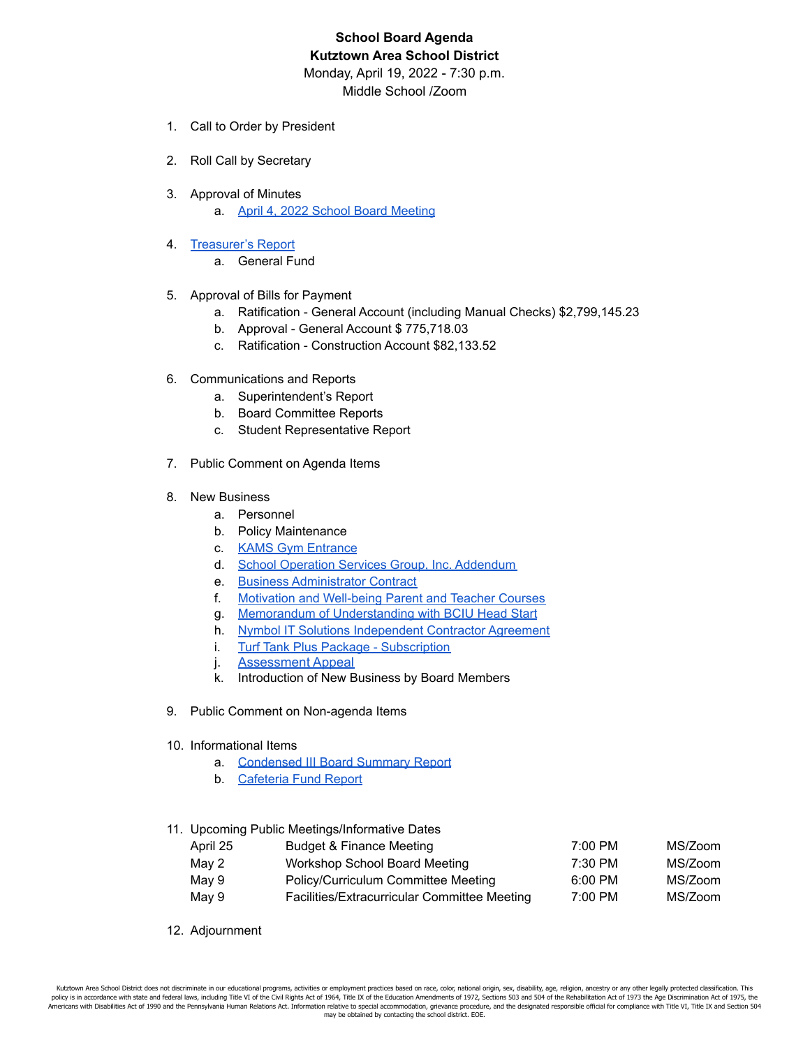## **School Board Agenda Kutztown Area School District**

Monday, April 19, 2022 - 7:30 p.m. Middle School /Zoom

- 1. Call to Order by President
- 2. Roll Call by Secretary
- 3. Approval of Minutes
	- a. April 4, 2022 School Board [Meeting](https://drive.google.com/file/d/1FsViRdvPEKjtjZEJfc2IzD1Pm8VvyHNk/view?usp=sharing)
- 4. [Treasurer's](https://drive.google.com/file/d/1mSc4AUkwFyaa7Lhtz_ExfH5cJ85XbR0T/view?usp=sharing) Report
	- a. General Fund
- 5. Approval of Bills for Payment
	- a. Ratification General Account (including Manual Checks) \$2,799,145.23
	- b. Approval General Account \$ 775,718.03
	- c. Ratification Construction Account \$82,133.52
- 6. Communications and Reports
	- a. Superintendent's Report
	- b. Board Committee Reports
	- c. Student Representative Report
- 7. Public Comment on Agenda Items
- 8. New Business
	- a. Personnel
	- b. Policy Maintenance
	- c. KAMS Gym [Entrance](https://drive.google.com/file/d/1w70HsLus4pNqcnks43zOF12nEny8Hx8c/view?usp=sharing)
	- d. School Operation Services Group, Inc. [Addendum](https://drive.google.com/file/d/1rb_59lmSWy4GZ9ZSq5sVu0WUYejt7iwa/view?usp=sharing)
	- e. Business [Administrator](https://drive.google.com/file/d/1x3jhsEIpbEbTQJvWwoXhZ-E3wiF0X_xH/view?usp=sharing) Contract
	- f. Motivation and [Well-being](https://drive.google.com/file/d/1oW_pRkmoHd-M5srSnHswZ3fFEdJTT0Rw/view?usp=sharing) Parent and Teacher Courses
	- g. Memorandum of [Understanding](https://drive.google.com/file/d/1qKiImQ7B-KYUWQN-8GWn7ygNpZeewJO_/view?usp=sharing) with BCIU Head Start
	- h. Nymbol IT Solutions [Independent](https://drive.google.com/file/d/1IMOMVu3KCw41d9YgW6Oql_2rBftUqvQq/view?usp=sharing) Contractor Agreement
	- i. Turf Tank Plus Package [Subscription](https://drive.google.com/file/d/19tMiBqw3XRbpRiz2K-zK0cX1tB4U5e0s/view?usp=sharing)
	- j. [Assessment](https://drive.google.com/file/d/1x_2eqKSrb9npwzQHPADpaKHqZydzdzyV/view?usp=sharing) Appeal
	- k. Introduction of New Business by Board Members
- 9. Public Comment on Non-agenda Items
- 10. Informational Items
	- a. [Condensed](https://drive.google.com/file/d/11GZI9s4smPaFtn8jAi0sZ6jBRf6tQjgE/view?usp=sharing) III Board Summary Report
	- b. [Cafeteria](https://drive.google.com/file/d/1BxBbgIcYnaxYqZ3nCvKyyNJ_tYAJ_i1v/view?usp=sharing) Fund Report

## 11. Upcoming Public Meetings/Informative Dates

| April 25 | Budget & Finance Meeting                     | 7:00 PM   | MS/Zoom |
|----------|----------------------------------------------|-----------|---------|
| May 2    | Workshop School Board Meeting                | $7:30$ PM | MS/Zoom |
| May 9    | Policy/Curriculum Committee Meeting          | 6:00 PM   | MS/Zoom |
| May 9    | Facilities/Extracurricular Committee Meeting | $7:00$ PM | MS/Zoom |

12. Adjournment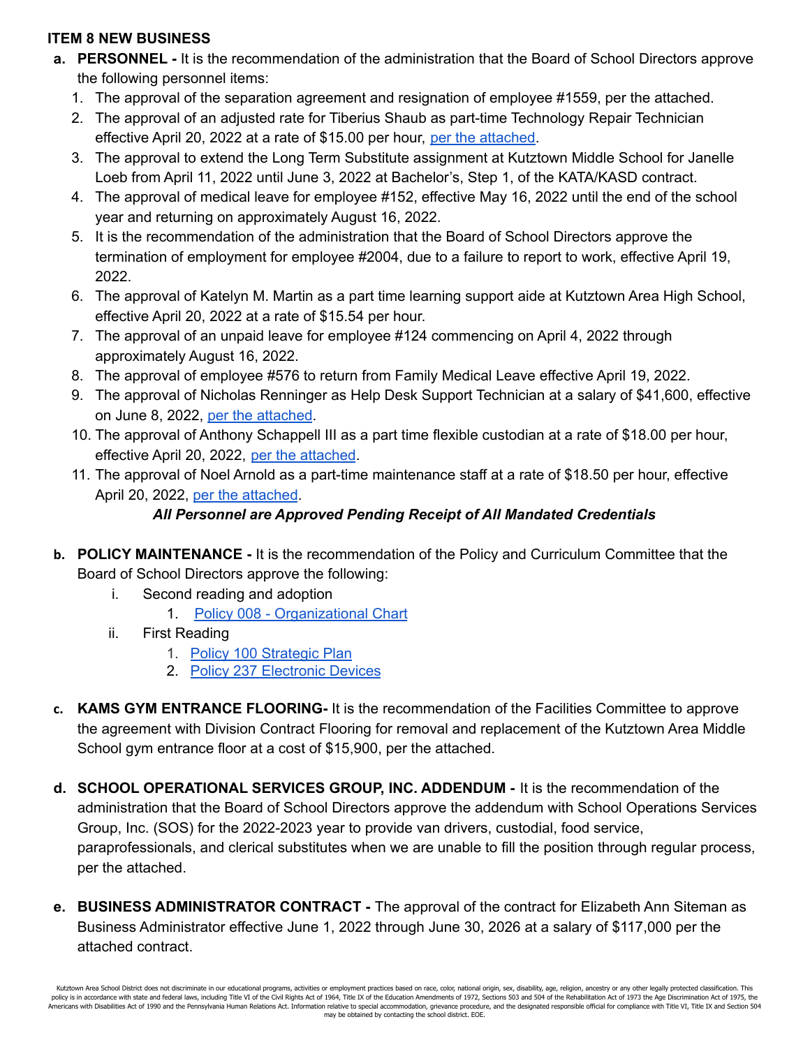## **ITEM 8 NEW BUSINESS**

- **a. PERSONNEL -** It is the recommendation of the administration that the Board of School Directors approve the following personnel items:
	- 1. The approval of the separation agreement and resignation of employee #1559, per the attached.
	- 2. The approval of an adjusted rate for Tiberius Shaub as part-time Technology Repair Technician effective April 20, 2022 at a rate of \$15.00 per hour, per the [attached.](https://drive.google.com/file/d/1qepi3-XnDnorkTM8ib6qy9nOjuGTbDMT/view?usp=sharing)
	- 3. The approval to extend the Long Term Substitute assignment at Kutztown Middle School for Janelle Loeb from April 11, 2022 until June 3, 2022 at Bachelor's, Step 1, of the KATA/KASD contract.
	- 4. The approval of medical leave for employee #152, effective May 16, 2022 until the end of the school year and returning on approximately August 16, 2022.
	- 5. It is the recommendation of the administration that the Board of School Directors approve the termination of employment for employee #2004, due to a failure to report to work, effective April 19, 2022.
	- 6. The approval of Katelyn M. Martin as a part time learning support aide at Kutztown Area High School, effective April 20, 2022 at a rate of \$15.54 per hour.
	- 7. The approval of an unpaid leave for employee #124 commencing on April 4, 2022 through approximately August 16, 2022.
	- 8. The approval of employee #576 to return from Family Medical Leave effective April 19, 2022.
	- 9. The approval of Nicholas Renninger as Help Desk Support Technician at a salary of \$41,600, effective on June 8, 2022, per the [attached](https://drive.google.com/file/d/16RagBp33jekdAK6VT_Nsi_hcfareEAEu/view?usp=sharing).
	- 10. The approval of Anthony Schappell III as a part time flexible custodian at a rate of \$18.00 per hour, effective April 20, 2022, per the [attached](https://drive.google.com/file/d/1LDfgfmaLtZG0czyiqEahH0Kw79MOHQ1g/view?usp=sharing).
	- 11. The approval of Noel Arnold as a part-time maintenance staff at a rate of \$18.50 per hour, effective April 20, 2022, per the [attached](https://drive.google.com/file/d/1NVKha880j7zNTzWCE_E8_hMcYY22xUaN/view?usp=sharing).

## *All Personnel are Approved Pending Receipt of All Mandated Credentials*

- **b. POLICY MAINTENANCE -** It is the recommendation of the Policy and Curriculum Committee that the Board of School Directors approve the following:
	- i. Second reading and adoption
		- 1. Policy 008 [Organizational](https://drive.google.com/file/d/1dQDOMS4ed662yLOW28GEvEsYOB_fbCWx/view?usp=sharing) Chart
	- ii. First Reading
		- 1. Policy 100 [Strategic](https://drive.google.com/file/d/1R2p1f0Y-jz4EGWMyQPkfuA--iRCWUkn0/view?usp=sharing) Plan
		- 2. Policy 237 [Electronic](https://drive.google.com/file/d/1vvnBxRu-tuUpdCp5igZutbaVcCbzFyDm/view?usp=sharing) Devices
- **c. KAMS GYM ENTRANCE FLOORING-** It is the recommendation of the Facilities Committee to approve the agreement with Division Contract Flooring for removal and replacement of the Kutztown Area Middle School gym entrance floor at a cost of \$15,900, per the attached.
- **d. SCHOOL OPERATIONAL SERVICES GROUP, INC. ADDENDUM -** It is the recommendation of the administration that the Board of School Directors approve the addendum with School Operations Services Group, Inc. (SOS) for the 2022-2023 year to provide van drivers, custodial, food service, paraprofessionals, and clerical substitutes when we are unable to fill the position through regular process, per the attached.
- **e. BUSINESS ADMINISTRATOR CONTRACT -** The approval of the contract for Elizabeth Ann Siteman as Business Administrator effective June 1, 2022 through June 30, 2026 at a salary of \$117,000 per the attached contract.